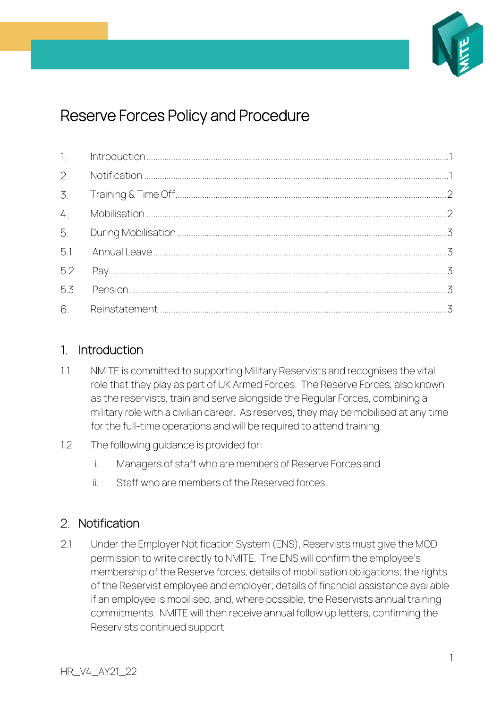

# Reserve Forces Policy and Procedure

| 2.  |  |
|-----|--|
|     |  |
| 4.  |  |
| 5.  |  |
| 5.1 |  |
| 5.2 |  |
| 5.3 |  |
|     |  |

#### <span id="page-0-0"></span>Introduction  $\mathbf{1}$

- 1.1 NMITE is committed to supporting Military Reservists and recognises the vital role that they play as part of UK Armed Forces. The Reserve Forces, also known as the reservists, train and serve alongside the Regular Forces, combining a military role with a civilian career. As reserves, they may be mobilised at any time for the full-time operations and will be required to attend training.
- 1.2 The following guidance is provided for:
	- i. Managers of staff who are members of Reserve Forces and
	- ii. Staff who are members of the Reserved forces.

## <span id="page-0-1"></span>2. Notification

2.1 Under the Employer Notification System (ENS), Reservists must give the MOD permission to write directly to NMITE. The ENS will confirm the employee's membership of the Reserve forces, details of mobilisation obligations; the rights of the Reservist employee and employer; details of financial assistance available if an employee is mobilised, and, where possible, the Reservists annual training commitments. NMITE will then receive annual follow up letters, confirming the Reservists continued support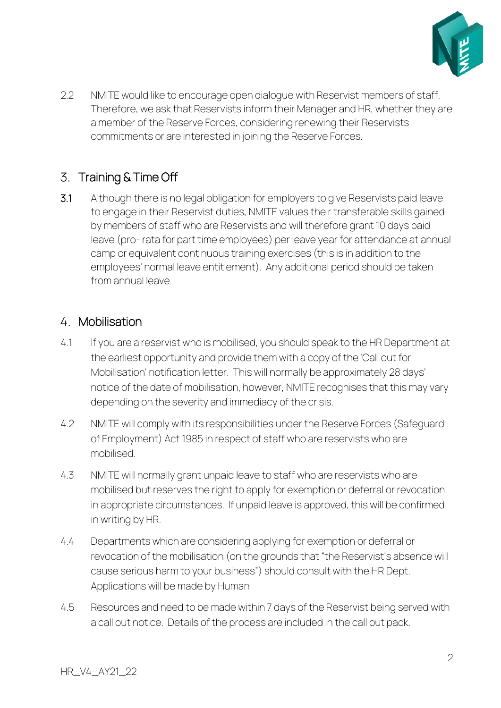

2.2 NMITE would like to encourage open dialogue with Reservist members of staff. Therefore, we ask that Reservists inform their Manager and HR, whether they are a member of the Reserve Forces, considering renewing their Reservists commitments or are interested in joining the Reserve Forces.

# <span id="page-1-0"></span>3. Training & Time Off

3.1 Although there is no legal obligation for employers to give Reservists paid leave to engage in their Reservist duties, NMITE values their transferable skills gained by members of staff who are Reservists and will therefore grant 10 days paid leave (pro- rata for part time employees) per leave year for attendance at annual camp or equivalent continuous training exercises (this is in addition to the employees' normal leave entitlement). Any additional period should be taken from annual leave.

## <span id="page-1-1"></span>4 Mobilisation

- 4.1 If you are a reservist who is mobilised, you should speak to the HR Department at the earliest opportunity and provide them with a copy of the 'Call out for Mobilisation' notification letter. This will normally be approximately 28 days' notice of the date of mobilisation, however, NMITE recognises that this may vary depending on the severity and immediacy of the crisis.
- 4.2 NMITE will comply with its responsibilities under the Reserve Forces (Safeguard of Employment) Act 1985 in respect of staff who are reservists who are mobilised.
- 4.3 NMITE will normally grant unpaid leave to staff who are reservists who are mobilised but reserves the right to apply for exemption or deferral or revocation in appropriate circumstances. If unpaid leave is approved, this will be confirmed in writing by HR.
- 4.4 Departments which are considering applying for exemption or deferral or revocation of the mobilisation (on the grounds that "the Reservist's absence will cause serious harm to your business") should consult with the HR Dept. Applications will be made by Human
- 4.5 Resources and need to be made within 7 days of the Reservist being served with a call out notice. Details of the process are included in the call out pack.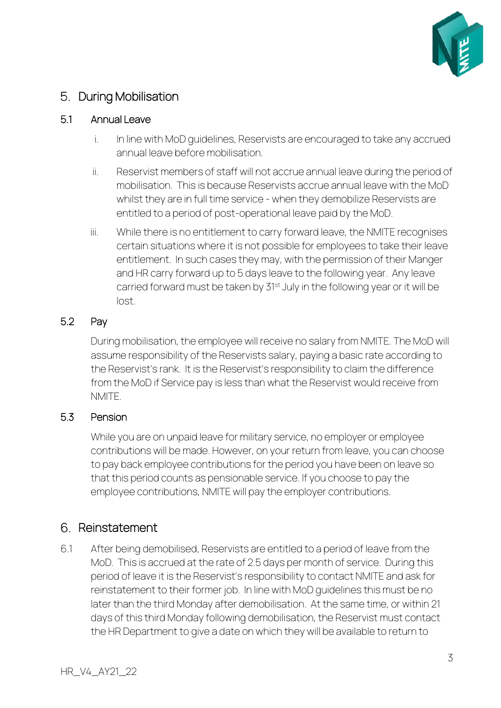

# <span id="page-2-0"></span>5. During Mobilisation

#### <span id="page-2-1"></span>5.1 Annual Leave

- i. In line with MoD quidelines, Reservists are encouraged to take any accrued annual leave before mobilisation.
- ii. Reservist members of staff will not accrue annual leave during the period of mobilisation. This is because Reservists accrue annual leave with the MoD whilst they are in full time service - when they demobilize Reservists are entitled to a period of post-operational leave paid by the MoD.
- iii. While there is no entitlement to carry forward leave, the NMITE recognises certain situations where it is not possible for employees to take their leave entitlement. In such cases they may, with the permission of their Manger and HR carry forward up to 5 days leave to the following year. Any leave carried forward must be taken by 31<sup>st</sup> July in the following year or it will be lost.

#### <span id="page-2-2"></span>5.2 Pay

During mobilisation, the employee will receive no salary from NMITE. The MoD will assume responsibility of the Reservists salary, paying a basic rate according to the Reservist's rank. It is the Reservist's responsibility to claim the difference from the MoD if Service pay is less than what the Reservist would receive from **NMITE** 

#### <span id="page-2-3"></span>5.3 Pension

While you are on unpaid leave for military service, no employer or employee contributions will be made. However, on your return from leave, you can choose to pay back employee contributions for the period you have been on leave so that this period counts as pensionable service. If you choose to pay the employee contributions, NMITE will pay the employer contributions.

#### <span id="page-2-4"></span>6. Reinstatement

6.1 After being demobilised, Reservists are entitled to a period of leave from the MoD. This is accrued at the rate of 2.5 days per month of service. During this period of leave it is the Reservist's responsibility to contact NMITE and ask for reinstatement to their former job. In line with MoD guidelines this must be no later than the third Monday after demobilisation. At the same time, or within 21 days of this third Monday following demobilisation, the Reservist must contact the HR Department to give a date on which they will be available to return to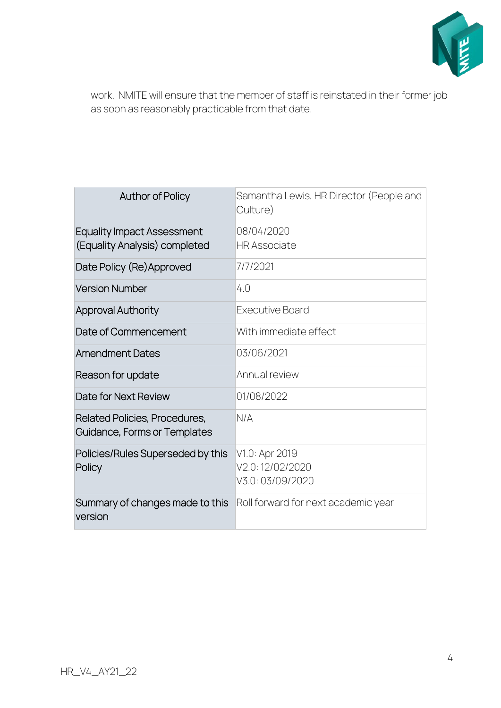

work. NMITE will ensure that the member of staff is reinstated in their former job as soon as reasonably practicable from that date.

| <b>Author of Policy</b>                                            | Samantha Lewis, HR Director (People and<br>Culture)   |
|--------------------------------------------------------------------|-------------------------------------------------------|
| <b>Equality Impact Assessment</b><br>(Equality Analysis) completed | 08/04/2020<br><b>HR Associate</b>                     |
| Date Policy (Re) Approved                                          | 7/7/2021                                              |
| <b>Version Number</b>                                              | 4.0                                                   |
| <b>Approval Authority</b>                                          | <b>Executive Board</b>                                |
| Date of Commencement                                               | With immediate effect                                 |
| <b>Amendment Dates</b>                                             | 03/06/2021                                            |
| Reason for update                                                  | Annual review                                         |
| Date for Next Review                                               | 01/08/2022                                            |
| Related Policies, Procedures,<br>Guidance, Forms or Templates      | N/A                                                   |
| Policies/Rules Superseded by this<br>Policy                        | V1.0: Apr 2019<br>V2.0:12/02/2020<br>V3.0: 03/09/2020 |
| Summary of changes made to this<br>version                         | Roll forward for next academic year                   |